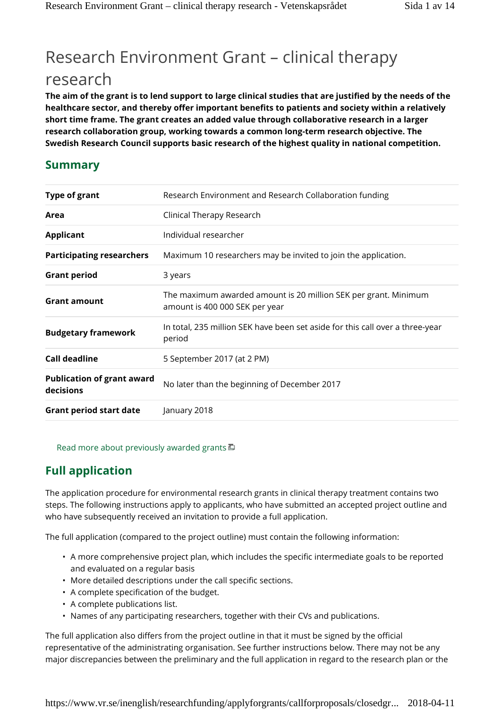# Research Environment Grant – clinical therapy research

**The aim of the grant is to lend support to large clinical studies that are justified by the needs of the healthcare sector, and thereby offer important benefits to patients and society within a relatively short time frame. The grant creates an added value through collaborative research in a larger research collaboration group, working towards a common long-term research objective. The Swedish Research Council supports basic research of the highest quality in national competition.**

# **Summary**

| <b>Type of grant</b>                           | Research Environment and Research Collaboration funding                                           |
|------------------------------------------------|---------------------------------------------------------------------------------------------------|
| Area                                           | Clinical Therapy Research                                                                         |
| <b>Applicant</b>                               | Individual researcher                                                                             |
| <b>Participating researchers</b>               | Maximum 10 researchers may be invited to join the application.                                    |
| <b>Grant period</b>                            | 3 years                                                                                           |
| <b>Grant amount</b>                            | The maximum awarded amount is 20 million SEK per grant. Minimum<br>amount is 400 000 SEK per year |
| <b>Budgetary framework</b>                     | In total, 235 million SEK have been set aside for this call over a three-year<br>period           |
| <b>Call deadline</b>                           | 5 September 2017 (at 2 PM)                                                                        |
| <b>Publication of grant award</b><br>decisions | No later than the beginning of December 2017                                                      |
| <b>Grant period start date</b>                 | January 2018                                                                                      |

Read more about previously awarded grants  $\Box$ 

# **Full application**

The application procedure for environmental research grants in clinical therapy treatment contains two steps. The following instructions apply to applicants, who have submitted an accepted project outline and who have subsequently received an invitation to provide a full application.

The full application (compared to the project outline) must contain the following information:

- A more comprehensive project plan, which includes the specific intermediate goals to be reported and evaluated on a regular basis
- More detailed descriptions under the call specific sections.
- A complete specification of the budget.
- A complete publications list.
- Names of any participating researchers, together with their CVs and publications.

The full application also differs from the project outline in that it must be signed by the official representative of the administrating organisation. See further instructions below. There may not be any major discrepancies between the preliminary and the full application in regard to the research plan or the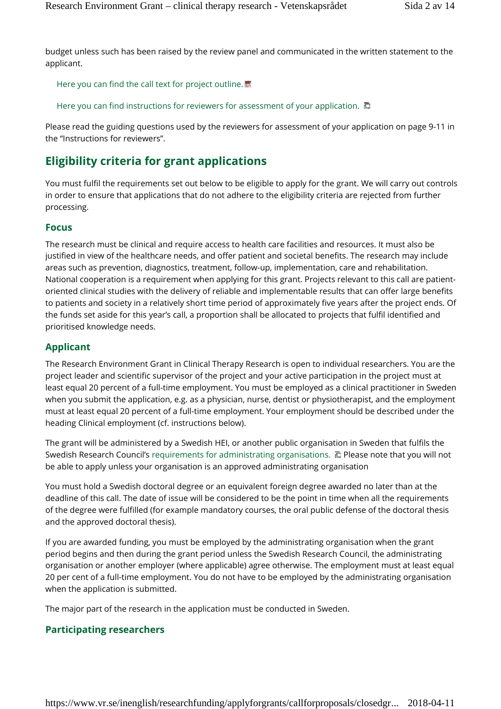budget unless such has been raised by the review panel and communicated in the written statement to the applicant.

Here you can find the call text for project outline.

Here you can find instructions for reviewers for assessment of your application.  $\Box$ 

Please read the guiding questions used by the reviewers for assessment of your application on page 9-11 in the "Instructions for reviewers".

# **Eligibility criteria for grant applications**

You must fulfil the requirements set out below to be eligible to apply for the grant. We will carry out controls in order to ensure that applications that do not adhere to the eligibility criteria are rejected from further processing.

### **Focus**

The research must be clinical and require access to health care facilities and resources. It must also be justified in view of the healthcare needs, and offer patient and societal benefits. The research may include areas such as prevention, diagnostics, treatment, follow-up, implementation, care and rehabilitation. National cooperation is a requirement when applying for this grant. Projects relevant to this call are patientoriented clinical studies with the delivery of reliable and implementable results that can offer large benefits to patients and society in a relatively short time period of approximately five years after the project ends. Of the funds set aside for this year's call, a proportion shall be allocated to projects that fulfil identified and prioritised knowledge needs.

### **Applicant**

The Research Environment Grant in Clinical Therapy Research is open to individual researchers. You are the project leader and scientific supervisor of the project and your active participation in the project must at least equal 20 percent of a full-time employment. You must be employed as a clinical practitioner in Sweden when you submit the application, e.g. as a physician, nurse, dentist or physiotherapist, and the employment must at least equal 20 percent of a full-time employment. Your employment should be described under the heading Clinical employment (cf. instructions below).

The grant will be administered by a Swedish HEI, or another public organisation in Sweden that fulfils the Swedish Research Council's requirements for administrating organisations.  $\Box$  Please note that you will not be able to apply unless your organisation is an approved administrating organisation

You must hold a Swedish doctoral degree or an equivalent foreign degree awarded no later than at the deadline of this call. The date of issue will be considered to be the point in time when all the requirements of the degree were fulfilled (for example mandatory courses, the oral public defense of the doctoral thesis and the approved doctoral thesis).

If you are awarded funding, you must be employed by the administrating organisation when the grant period begins and then during the grant period unless the Swedish Research Council, the administrating organisation or another employer (where applicable) agree otherwise. The employment must at least equal 20 per cent of a full-time employment. You do not have to be employed by the administrating organisation when the application is submitted.

The major part of the research in the application must be conducted in Sweden.

### **Participating researchers**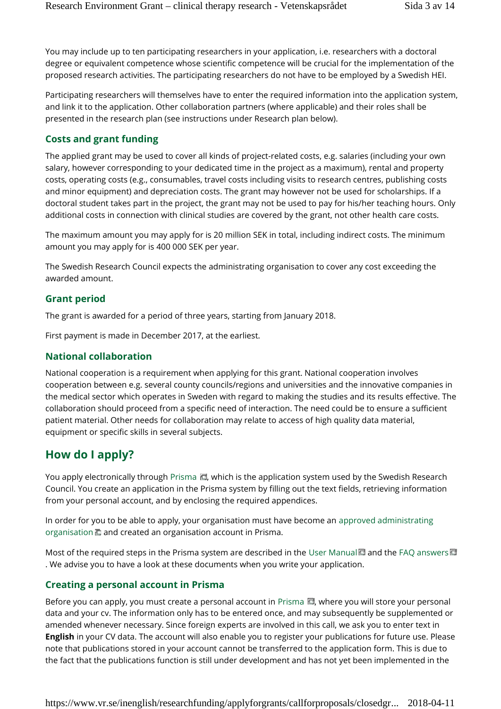You may include up to ten participating researchers in your application, i.e. researchers with a doctoral degree or equivalent competence whose scientific competence will be crucial for the implementation of the proposed research activities. The participating researchers do not have to be employed by a Swedish HEI.

Participating researchers will themselves have to enter the required information into the application system, and link it to the application. Other collaboration partners (where applicable) and their roles shall be presented in the research plan (see instructions under Research plan below).

### **Costs and grant funding**

The applied grant may be used to cover all kinds of project-related costs, e.g. salaries (including your own salary, however corresponding to your dedicated time in the project as a maximum), rental and property costs, operating costs (e.g., consumables, travel costs including visits to research centres, publishing costs and minor equipment) and depreciation costs. The grant may however not be used for scholarships. If a doctoral student takes part in the project, the grant may not be used to pay for his/her teaching hours. Only additional costs in connection with clinical studies are covered by the grant, not other health care costs.

The maximum amount you may apply for is 20 million SEK in total, including indirect costs. The minimum amount you may apply for is 400 000 SEK per year.

The Swedish Research Council expects the administrating organisation to cover any cost exceeding the awarded amount.

### **Grant period**

The grant is awarded for a period of three years, starting from January 2018.

First payment is made in December 2017, at the earliest.

### **National collaboration**

National cooperation is a requirement when applying for this grant. National cooperation involves cooperation between e.g. several county councils/regions and universities and the innovative companies in the medical sector which operates in Sweden with regard to making the studies and its results effective. The collaboration should proceed from a specific need of interaction. The need could be to ensure a sufficient patient material. Other needs for collaboration may relate to access of high quality data material, equipment or specific skills in several subjects.

# **How do I apply?**

You apply electronically through Prisma  $\Box$ , which is the application system used by the Swedish Research Council. You create an application in the Prisma system by filling out the text fields, retrieving information from your personal account, and by enclosing the required appendices.

In order for you to be able to apply, your organisation must have become an approved administrating organisation  $\Box$  and created an organisation account in Prisma.

Most of the required steps in the Prisma system are described in the User Manual and the FAQ answers . We advise you to have a look at these documents when you write your application.

### **Creating a personal account in Prisma**

Before you can apply, you must create a personal account in Prisma  $\Box$ , where you will store your personal data and your cv. The information only has to be entered once, and may subsequently be supplemented or amended whenever necessary. Since foreign experts are involved in this call, we ask you to enter text in **English** in your CV data. The account will also enable you to register your publications for future use. Please note that publications stored in your account cannot be transferred to the application form. This is due to the fact that the publications function is still under development and has not yet been implemented in the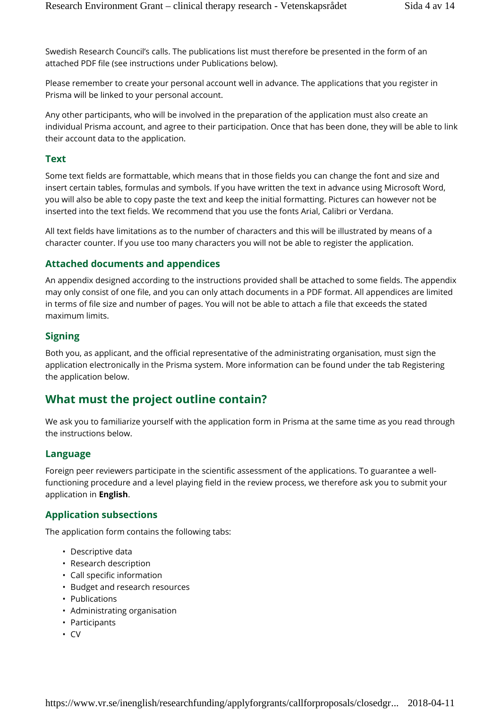Swedish Research Council's calls. The publications list must therefore be presented in the form of an attached PDF file (see instructions under Publications below).

Please remember to create your personal account well in advance. The applications that you register in Prisma will be linked to your personal account.

Any other participants, who will be involved in the preparation of the application must also create an individual Prisma account, and agree to their participation. Once that has been done, they will be able to link their account data to the application.

### **Text**

Some text fields are formattable, which means that in those fields you can change the font and size and insert certain tables, formulas and symbols. If you have written the text in advance using Microsoft Word, you will also be able to copy paste the text and keep the initial formatting. Pictures can however not be inserted into the text fields. We recommend that you use the fonts Arial, Calibri or Verdana.

All text fields have limitations as to the number of characters and this will be illustrated by means of a character counter. If you use too many characters you will not be able to register the application.

### **Attached documents and appendices**

An appendix designed according to the instructions provided shall be attached to some fields. The appendix may only consist of one file, and you can only attach documents in a PDF format. All appendices are limited in terms of file size and number of pages. You will not be able to attach a file that exceeds the stated maximum limits.

### **Signing**

Both you, as applicant, and the official representative of the administrating organisation, must sign the application electronically in the Prisma system. More information can be found under the tab Registering the application below.

# **What must the project outline contain?**

We ask you to familiarize yourself with the application form in Prisma at the same time as you read through the instructions below.

### **Language**

Foreign peer reviewers participate in the scientific assessment of the applications. To guarantee a wellfunctioning procedure and a level playing field in the review process, we therefore ask you to submit your application in **English**.

### **Application subsections**

The application form contains the following tabs:

- Descriptive data
- Research description
- Call specific information
- Budget and research resources
- Publications
- Administrating organisation
- Participants
- CV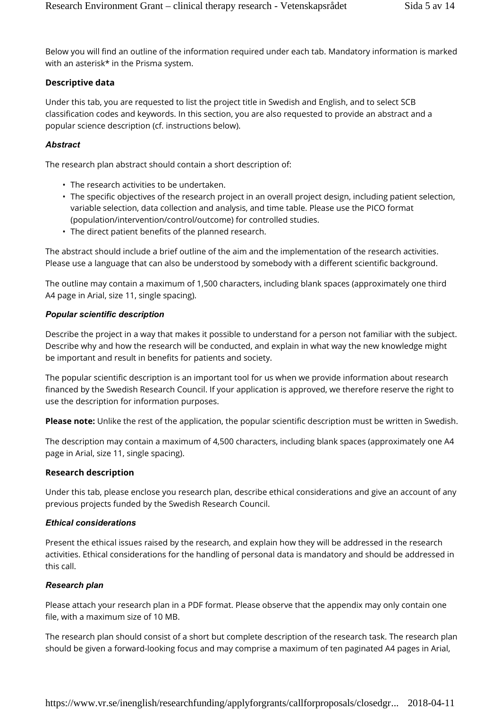Below you will find an outline of the information required under each tab. Mandatory information is marked with an asterisk\* in the Prisma system.

### **Descriptive data**

Under this tab, you are requested to list the project title in Swedish and English, and to select SCB classification codes and keywords. In this section, you are also requested to provide an abstract and a popular science description (cf. instructions below).

### *Abstract*

The research plan abstract should contain a short description of:

- The research activities to be undertaken.
- The specific objectives of the research project in an overall project design, including patient selection, variable selection, data collection and analysis, and time table. Please use the PICO format (population/intervention/control/outcome) for controlled studies.
- The direct patient benefits of the planned research.

The abstract should include a brief outline of the aim and the implementation of the research activities. Please use a language that can also be understood by somebody with a different scientific background.

The outline may contain a maximum of 1,500 characters, including blank spaces (approximately one third A4 page in Arial, size 11, single spacing).

#### *Popular scientific description*

Describe the project in a way that makes it possible to understand for a person not familiar with the subject. Describe why and how the research will be conducted, and explain in what way the new knowledge might be important and result in benefits for patients and society.

The popular scientific description is an important tool for us when we provide information about research financed by the Swedish Research Council. If your application is approved, we therefore reserve the right to use the description for information purposes.

**Please note:** Unlike the rest of the application, the popular scientific description must be written in Swedish.

The description may contain a maximum of 4,500 characters, including blank spaces (approximately one A4 page in Arial, size 11, single spacing).

### **Research description**

Under this tab, please enclose you research plan, describe ethical considerations and give an account of any previous projects funded by the Swedish Research Council.

### *Ethical considerations*

Present the ethical issues raised by the research, and explain how they will be addressed in the research activities. Ethical considerations for the handling of personal data is mandatory and should be addressed in this call.

### *Research plan*

Please attach your research plan in a PDF format. Please observe that the appendix may only contain one file, with a maximum size of 10 MB.

The research plan should consist of a short but complete description of the research task. The research plan should be given a forward-looking focus and may comprise a maximum of ten paginated A4 pages in Arial,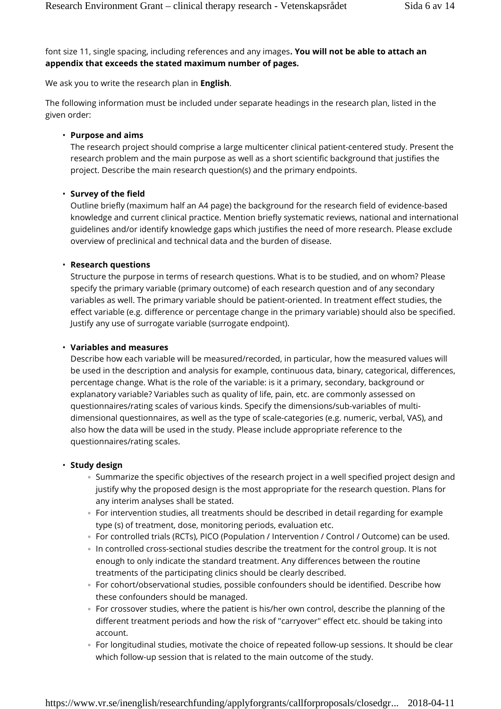font size 11, single spacing, including references and any images**. You will not be able to attach an appendix that exceeds the stated maximum number of pages.**

We ask you to write the research plan in **English**.

The following information must be included under separate headings in the research plan, listed in the given order:

#### • **Purpose and aims**

The research project should comprise a large multicenter clinical patient-centered study. Present the research problem and the main purpose as well as a short scientific background that justifies the project. Describe the main research question(s) and the primary endpoints.

#### • **Survey of the field**

Outline briefly (maximum half an A4 page) the background for the research field of evidence-based knowledge and current clinical practice. Mention briefly systematic reviews, national and international guidelines and/or identify knowledge gaps which justifies the need of more research. Please exclude overview of preclinical and technical data and the burden of disease.

#### • **Research questions**

Structure the purpose in terms of research questions. What is to be studied, and on whom? Please specify the primary variable (primary outcome) of each research question and of any secondary variables as well. The primary variable should be patient-oriented. In treatment effect studies, the effect variable (e.g. difference or percentage change in the primary variable) should also be specified. Justify any use of surrogate variable (surrogate endpoint).

#### • **Variables and measures**

Describe how each variable will be measured/recorded, in particular, how the measured values will be used in the description and analysis for example, continuous data, binary, categorical, differences, percentage change. What is the role of the variable: is it a primary, secondary, background or explanatory variable? Variables such as quality of life, pain, etc. are commonly assessed on questionnaires/rating scales of various kinds. Specify the dimensions/sub-variables of multidimensional questionnaires, as well as the type of scale-categories (e.g. numeric, verbal, VAS), and also how the data will be used in the study. Please include appropriate reference to the questionnaires/rating scales.

#### • **Study design**

Summarize the specific objectives of the research project in a well specified project design and justify why the proposed design is the most appropriate for the research question. Plans for any interim analyses shall be stated.

For intervention studies, all treatments should be described in detail regarding for example type (s) of treatment, dose, monitoring periods, evaluation etc.

For controlled trials (RCTs), PICO (Population / Intervention / Control / Outcome) can be used. In controlled cross-sectional studies describe the treatment for the control group. It is not enough to only indicate the standard treatment. Any differences between the routine treatments of the participating clinics should be clearly described.

For cohort/observational studies, possible confounders should be identified. Describe how these confounders should be managed.

For crossover studies, where the patient is his/her own control, describe the planning of the different treatment periods and how the risk of "carryover" effect etc. should be taking into account.

For longitudinal studies, motivate the choice of repeated follow-up sessions. It should be clear which follow-up session that is related to the main outcome of the study.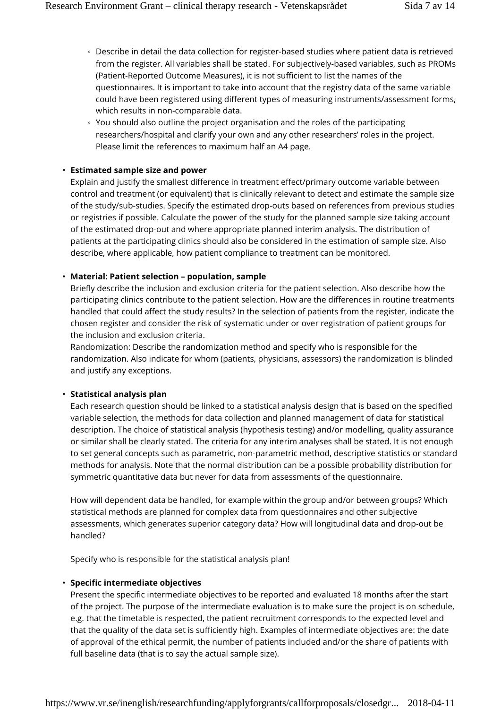Describe in detail the data collection for register-based studies where patient data is retrieved from the register. All variables shall be stated. For subjectively-based variables, such as PROMs (Patient-Reported Outcome Measures), it is not sufficient to list the names of the questionnaires. It is important to take into account that the registry data of the same variable could have been registered using different types of measuring instruments/assessment forms, which results in non-comparable data.

You should also outline the project organisation and the roles of the participating researchers/hospital and clarify your own and any other researchers' roles in the project. Please limit the references to maximum half an A4 page.

#### • **Estimated sample size and power**

Explain and justify the smallest difference in treatment effect/primary outcome variable between control and treatment (or equivalent) that is clinically relevant to detect and estimate the sample size of the study/sub-studies. Specify the estimated drop-outs based on references from previous studies or registries if possible. Calculate the power of the study for the planned sample size taking account of the estimated drop-out and where appropriate planned interim analysis. The distribution of patients at the participating clinics should also be considered in the estimation of sample size. Also describe, where applicable, how patient compliance to treatment can be monitored.

#### • **Material: Patient selection – population, sample**

Briefly describe the inclusion and exclusion criteria for the patient selection. Also describe how the participating clinics contribute to the patient selection. How are the differences in routine treatments handled that could affect the study results? In the selection of patients from the register, indicate the chosen register and consider the risk of systematic under or over registration of patient groups for the inclusion and exclusion criteria.

Randomization: Describe the randomization method and specify who is responsible for the randomization. Also indicate for whom (patients, physicians, assessors) the randomization is blinded and justify any exceptions.

#### • **Statistical analysis plan**

Each research question should be linked to a statistical analysis design that is based on the specified variable selection, the methods for data collection and planned management of data for statistical description. The choice of statistical analysis (hypothesis testing) and/or modelling, quality assurance or similar shall be clearly stated. The criteria for any interim analyses shall be stated. It is not enough to set general concepts such as parametric, non-parametric method, descriptive statistics or standard methods for analysis. Note that the normal distribution can be a possible probability distribution for symmetric quantitative data but never for data from assessments of the questionnaire.

How will dependent data be handled, for example within the group and/or between groups? Which statistical methods are planned for complex data from questionnaires and other subjective assessments, which generates superior category data? How will longitudinal data and drop-out be handled?

Specify who is responsible for the statistical analysis plan!

#### • **Specific intermediate objectives**

Present the specific intermediate objectives to be reported and evaluated 18 months after the start of the project. The purpose of the intermediate evaluation is to make sure the project is on schedule, e.g. that the timetable is respected, the patient recruitment corresponds to the expected level and that the quality of the data set is sufficiently high. Examples of intermediate objectives are: the date of approval of the ethical permit, the number of patients included and/or the share of patients with full baseline data (that is to say the actual sample size).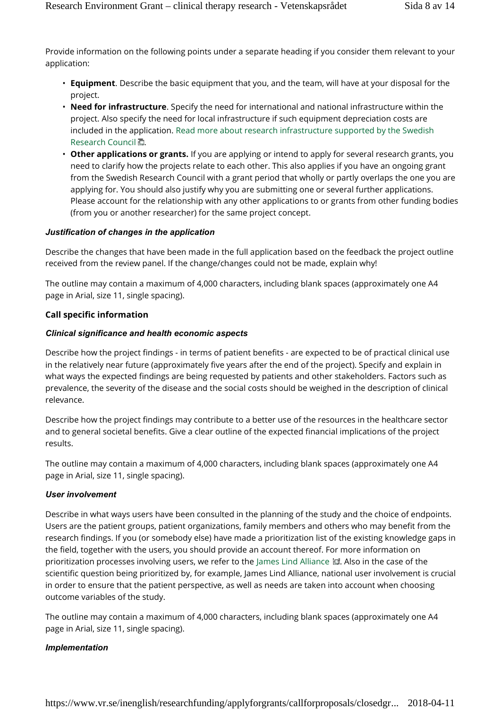Provide information on the following points under a separate heading if you consider them relevant to your application:

- **Equipment**. Describe the basic equipment that you, and the team, will have at your disposal for the project.
- **Need for infrastructure**. Specify the need for international and national infrastructure within the project. Also specify the need for local infrastructure if such equipment depreciation costs are included in the application. Read more about research infrastructure supported by the Swedish Research Council 面.
- **Other applications or grants.** If you are applying or intend to apply for several research grants, you need to clarify how the projects relate to each other. This also applies if you have an ongoing grant from the Swedish Research Council with a grant period that wholly or partly overlaps the one you are applying for. You should also justify why you are submitting one or several further applications. Please account for the relationship with any other applications to or grants from other funding bodies (from you or another researcher) for the same project concept.

#### *Justification of changes in the application*

Describe the changes that have been made in the full application based on the feedback the project outline received from the review panel. If the change/changes could not be made, explain why!

The outline may contain a maximum of 4,000 characters, including blank spaces (approximately one A4 page in Arial, size 11, single spacing).

#### **Call specific information**

#### *Clinical significance and health economic aspects*

Describe how the project findings - in terms of patient benefits - are expected to be of practical clinical use in the relatively near future (approximately five years after the end of the project). Specify and explain in what ways the expected findings are being requested by patients and other stakeholders. Factors such as prevalence, the severity of the disease and the social costs should be weighed in the description of clinical relevance.

Describe how the project findings may contribute to a better use of the resources in the healthcare sector and to general societal benefits. Give a clear outline of the expected financial implications of the project results.

The outline may contain a maximum of 4,000 characters, including blank spaces (approximately one A4 page in Arial, size 11, single spacing).

#### *User involvement*

Describe in what ways users have been consulted in the planning of the study and the choice of endpoints. Users are the patient groups, patient organizations, family members and others who may benefit from the research findings. If you (or somebody else) have made a prioritization list of the existing knowledge gaps in the field, together with the users, you should provide an account thereof. For more information on prioritization processes involving users, we refer to the James Lind Alliance . Also in the case of the scientific question being prioritized by, for example, James Lind Alliance, national user involvement is crucial in order to ensure that the patient perspective, as well as needs are taken into account when choosing outcome variables of the study.

The outline may contain a maximum of 4,000 characters, including blank spaces (approximately one A4 page in Arial, size 11, single spacing).

#### *Implementation*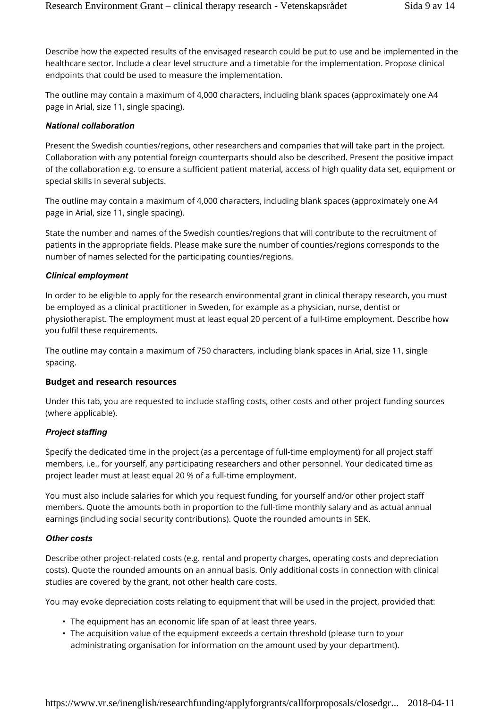Describe how the expected results of the envisaged research could be put to use and be implemented in the healthcare sector. Include a clear level structure and a timetable for the implementation. Propose clinical endpoints that could be used to measure the implementation.

The outline may contain a maximum of 4,000 characters, including blank spaces (approximately one A4 page in Arial, size 11, single spacing).

#### *National collaboration*

Present the Swedish counties/regions, other researchers and companies that will take part in the project. Collaboration with any potential foreign counterparts should also be described. Present the positive impact of the collaboration e.g. to ensure a sufficient patient material, access of high quality data set, equipment or special skills in several subjects.

The outline may contain a maximum of 4,000 characters, including blank spaces (approximately one A4 page in Arial, size 11, single spacing).

State the number and names of the Swedish counties/regions that will contribute to the recruitment of patients in the appropriate fields. Please make sure the number of counties/regions corresponds to the number of names selected for the participating counties/regions.

### *Clinical employment*

In order to be eligible to apply for the research environmental grant in clinical therapy research, you must be employed as a clinical practitioner in Sweden, for example as a physician, nurse, dentist or physiotherapist. The employment must at least equal 20 percent of a full-time employment. Describe how you fulfil these requirements.

The outline may contain a maximum of 750 characters, including blank spaces in Arial, size 11, single spacing.

### **Budget and research resources**

Under this tab, you are requested to include staffing costs, other costs and other project funding sources (where applicable).

### *Project staffing*

Specify the dedicated time in the project (as a percentage of full-time employment) for all project staff members, i.e., for yourself, any participating researchers and other personnel. Your dedicated time as project leader must at least equal 20 % of a full-time employment.

You must also include salaries for which you request funding, for yourself and/or other project staff members. Quote the amounts both in proportion to the full-time monthly salary and as actual annual earnings (including social security contributions). Quote the rounded amounts in SEK.

#### *Other costs*

Describe other project-related costs (e.g. rental and property charges, operating costs and depreciation costs). Quote the rounded amounts on an annual basis. Only additional costs in connection with clinical studies are covered by the grant, not other health care costs.

You may evoke depreciation costs relating to equipment that will be used in the project, provided that:

- The equipment has an economic life span of at least three years.
- The acquisition value of the equipment exceeds a certain threshold (please turn to your administrating organisation for information on the amount used by your department).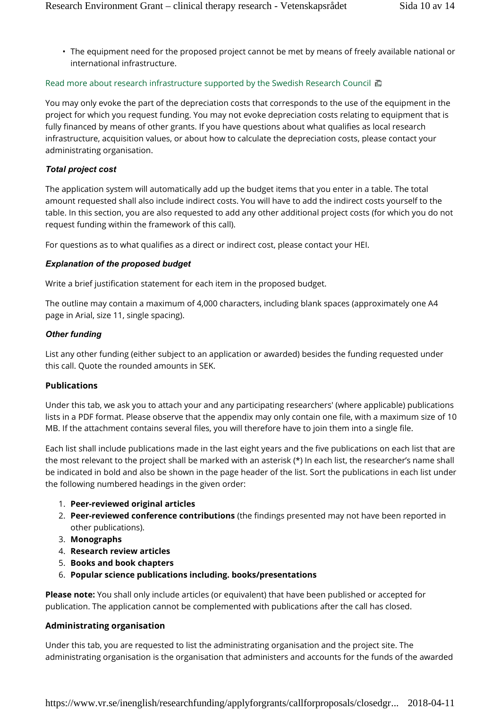• The equipment need for the proposed project cannot be met by means of freely available national or international infrastructure.

### Read more about research infrastructure supported by the Swedish Research Council  $\Box$

You may only evoke the part of the depreciation costs that corresponds to the use of the equipment in the project for which you request funding. You may not evoke depreciation costs relating to equipment that is fully financed by means of other grants. If you have questions about what qualifies as local research infrastructure, acquisition values, or about how to calculate the depreciation costs, please contact your administrating organisation.

### *Total project cost*

The application system will automatically add up the budget items that you enter in a table. The total amount requested shall also include indirect costs. You will have to add the indirect costs yourself to the table. In this section, you are also requested to add any other additional project costs (for which you do not request funding within the framework of this call).

For questions as to what qualifies as a direct or indirect cost, please contact your HEI.

#### *Explanation of the proposed budget*

Write a brief justification statement for each item in the proposed budget.

The outline may contain a maximum of 4,000 characters, including blank spaces (approximately one A4 page in Arial, size 11, single spacing).

#### *Other funding*

List any other funding (either subject to an application or awarded) besides the funding requested under this call. Quote the rounded amounts in SEK.

### **Publications**

Under this tab, we ask you to attach your and any participating researchers' (where applicable) publications lists in a PDF format. Please observe that the appendix may only contain one file, with a maximum size of 10 MB. If the attachment contains several files, you will therefore have to join them into a single file.

Each list shall include publications made in the last eight years and the five publications on each list that are the most relevant to the project shall be marked with an asterisk (\*) In each list, the researcher's name shall be indicated in bold and also be shown in the page header of the list. Sort the publications in each list under the following numbered headings in the given order:

- 1. **Peer-reviewed original articles**
- 2. **Peer-reviewed conference contributions** (the findings presented may not have been reported in other publications).
- 3. **Monographs**
- 4. **Research review articles**
- 5. **Books and book chapters**
- 6. **Popular science publications including. books/presentations**

**Please note:** You shall only include articles (or equivalent) that have been published or accepted for publication. The application cannot be complemented with publications after the call has closed.

#### **Administrating organisation**

Under this tab, you are requested to list the administrating organisation and the project site. The administrating organisation is the organisation that administers and accounts for the funds of the awarded

https://www.vr.se/inenglish/researchfunding/applyforgrants/callforproposals/closedgr... 2018-04-11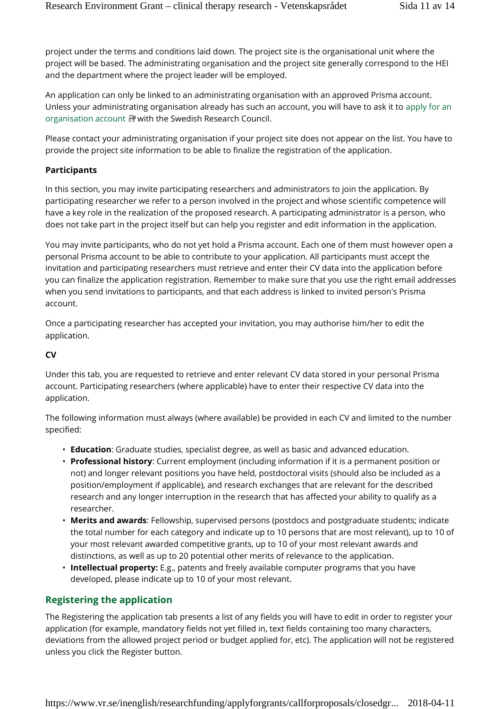project under the terms and conditions laid down. The project site is the organisational unit where the project will be based. The administrating organisation and the project site generally correspond to the HEI and the department where the project leader will be employed.

An application can only be linked to an administrating organisation with an approved Prisma account. Unless your administrating organisation already has such an account, you will have to ask it to apply for an organisation account **H** with the Swedish Research Council.

Please contact your administrating organisation if your project site does not appear on the list. You have to provide the project site information to be able to finalize the registration of the application.

### **Participants**

In this section, you may invite participating researchers and administrators to join the application. By participating researcher we refer to a person involved in the project and whose scientific competence will have a key role in the realization of the proposed research. A participating administrator is a person, who does not take part in the project itself but can help you register and edit information in the application.

You may invite participants, who do not yet hold a Prisma account. Each one of them must however open a personal Prisma account to be able to contribute to your application. All participants must accept the invitation and participating researchers must retrieve and enter their CV data into the application before you can finalize the application registration. Remember to make sure that you use the right email addresses when you send invitations to participants, and that each address is linked to invited person's Prisma account.

Once a participating researcher has accepted your invitation, you may authorise him/her to edit the application.

### **CV**

Under this tab, you are requested to retrieve and enter relevant CV data stored in your personal Prisma account. Participating researchers (where applicable) have to enter their respective CV data into the application.

The following information must always (where available) be provided in each CV and limited to the number specified:

- **Education**: Graduate studies, specialist degree, as well as basic and advanced education.
- **Professional history**: Current employment (including information if it is a permanent position or not) and longer relevant positions you have held, postdoctoral visits (should also be included as a position/employment if applicable), and research exchanges that are relevant for the described research and any longer interruption in the research that has affected your ability to qualify as a researcher.
- **Merits and awards**: Fellowship, supervised persons (postdocs and postgraduate students; indicate the total number for each category and indicate up to 10 persons that are most relevant), up to 10 of your most relevant awarded competitive grants, up to 10 of your most relevant awards and distinctions, as well as up to 20 potential other merits of relevance to the application.
- **Intellectual property:** E.g., patents and freely available computer programs that you have developed, please indicate up to 10 of your most relevant.

### **Registering the application**

The Registering the application tab presents a list of any fields you will have to edit in order to register your application (for example, mandatory fields not yet filled in, text fields containing too many characters, deviations from the allowed project period or budget applied for, etc). The application will not be registered unless you click the Register button.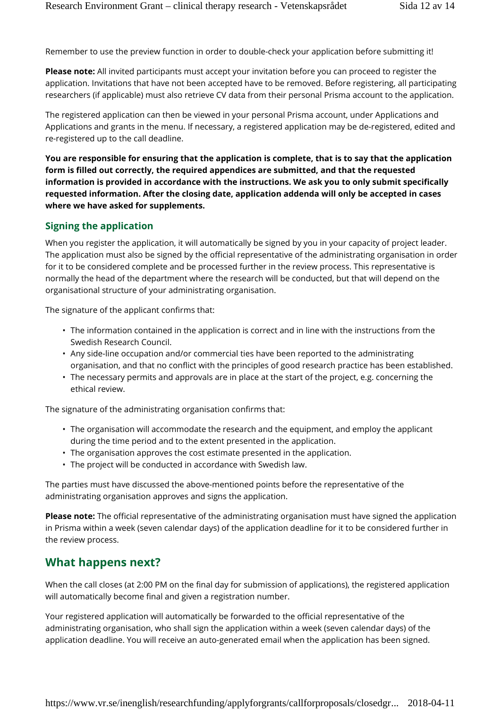Remember to use the preview function in order to double-check your application before submitting it!

**Please note:** All invited participants must accept your invitation before you can proceed to register the application. Invitations that have not been accepted have to be removed. Before registering, all participating researchers (if applicable) must also retrieve CV data from their personal Prisma account to the application.

The registered application can then be viewed in your personal Prisma account, under Applications and Applications and grants in the menu. If necessary, a registered application may be de-registered, edited and re-registered up to the call deadline.

**You are responsible for ensuring that the application is complete, that is to say that the application form is filled out correctly, the required appendices are submitted, and that the requested information is provided in accordance with the instructions. We ask you to only submit specifically requested information. After the closing date, application addenda will only be accepted in cases where we have asked for supplements.**

### **Signing the application**

When you register the application, it will automatically be signed by you in your capacity of project leader. The application must also be signed by the official representative of the administrating organisation in order for it to be considered complete and be processed further in the review process. This representative is normally the head of the department where the research will be conducted, but that will depend on the organisational structure of your administrating organisation.

The signature of the applicant confirms that:

- The information contained in the application is correct and in line with the instructions from the Swedish Research Council.
- Any side-line occupation and/or commercial ties have been reported to the administrating organisation, and that no conflict with the principles of good research practice has been established.
- The necessary permits and approvals are in place at the start of the project, e.g. concerning the ethical review.

The signature of the administrating organisation confirms that:

- The organisation will accommodate the research and the equipment, and employ the applicant during the time period and to the extent presented in the application.
- The organisation approves the cost estimate presented in the application.
- The project will be conducted in accordance with Swedish law.

The parties must have discussed the above-mentioned points before the representative of the administrating organisation approves and signs the application.

**Please note:** The official representative of the administrating organisation must have signed the application in Prisma within a week (seven calendar days) of the application deadline for it to be considered further in the review process.

### **What happens next?**

When the call closes (at 2:00 PM on the final day for submission of applications), the registered application will automatically become final and given a registration number.

Your registered application will automatically be forwarded to the official representative of the administrating organisation, who shall sign the application within a week (seven calendar days) of the application deadline. You will receive an auto-generated email when the application has been signed.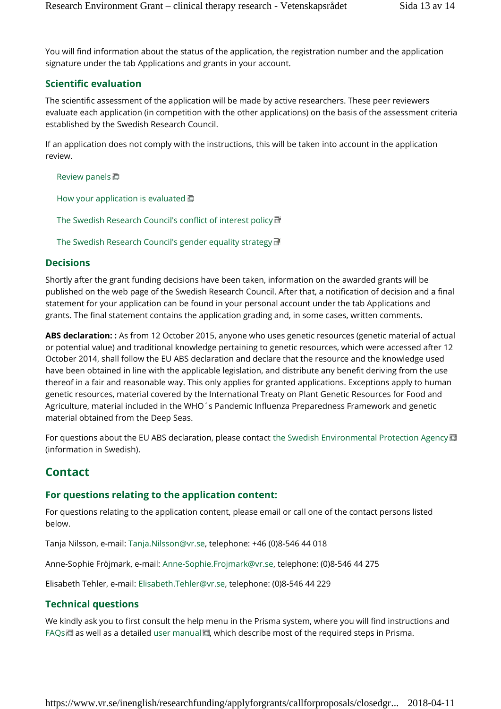You will find information about the status of the application, the registration number and the application signature under the tab Applications and grants in your account.

### **Scientific evaluation**

The scientific assessment of the application will be made by active researchers. These peer reviewers evaluate each application (in competition with the other applications) on the basis of the assessment criteria established by the Swedish Research Council.

If an application does not comply with the instructions, this will be taken into account in the application review.

Review panels

How your application is evaluated  $\Box$ 

The Swedish Research Council's conflict of interest policy

The Swedish Research Council's gender equality strategy

### **Decisions**

Shortly after the grant funding decisions have been taken, information on the awarded grants will be published on the web page of the Swedish Research Council. After that, a notification of decision and a final statement for your application can be found in your personal account under the tab Applications and grants. The final statement contains the application grading and, in some cases, written comments.

**ABS declaration: :** As from 12 October 2015, anyone who uses genetic resources (genetic material of actual or potential value) and traditional knowledge pertaining to genetic resources, which were accessed after 12 October 2014, shall follow the EU ABS declaration and declare that the resource and the knowledge used have been obtained in line with the applicable legislation, and distribute any benefit deriving from the use thereof in a fair and reasonable way. This only applies for granted applications. Exceptions apply to human genetic resources, material covered by the International Treaty on Plant Genetic Resources for Food and Agriculture, material included in the WHO´s Pandemic Influenza Preparedness Framework and genetic material obtained from the Deep Seas.

For questions about the EU ABS declaration, please contact the Swedish Environmental Protection Agency (information in Swedish).

# **Contact**

### **For questions relating to the application content:**

For questions relating to the application content, please email or call one of the contact persons listed below.

Tanja Nilsson, e-mail: Tanja.Nilsson@vr.se, telephone: +46 (0)8-546 44 018

Anne-Sophie Fröjmark, e-mail: Anne-Sophie.Frojmark@vr.se, telephone: (0)8-546 44 275

Elisabeth Tehler, e-mail: Elisabeth.Tehler@vr.se, telephone: (0)8-546 44 229

### **Technical questions**

We kindly ask you to first consult the help menu in the Prisma system, where you will find instructions and FAQs  $\Box$  as well as a detailed user manual  $\Box$ , which describe most of the required steps in Prisma.